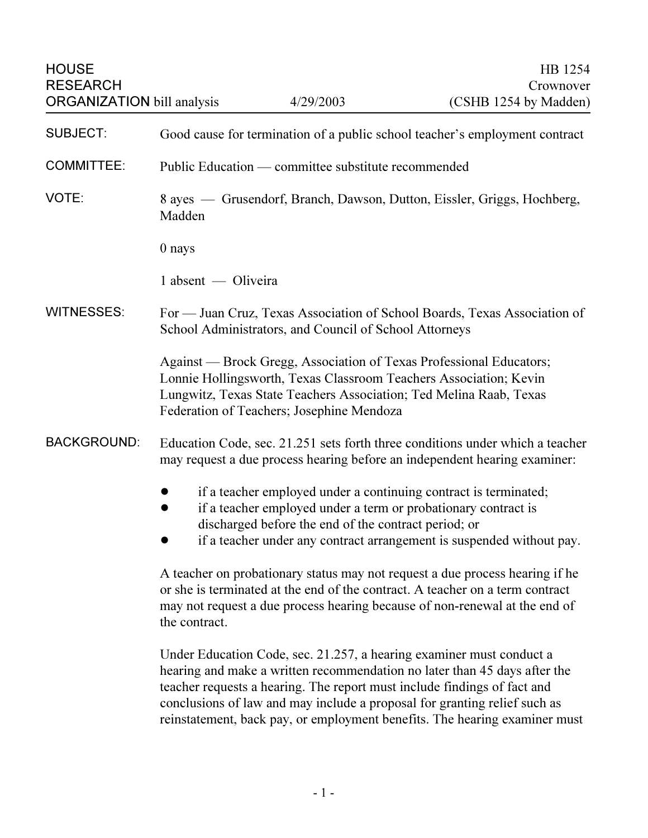| <b>HOUSE</b><br><b>RESEARCH</b>   |                                                                                                                                                                                                                                                                                                                                                                                          | 4/29/2003                                            | HB 1254<br>Crownover                                                                                                                                                                                        |
|-----------------------------------|------------------------------------------------------------------------------------------------------------------------------------------------------------------------------------------------------------------------------------------------------------------------------------------------------------------------------------------------------------------------------------------|------------------------------------------------------|-------------------------------------------------------------------------------------------------------------------------------------------------------------------------------------------------------------|
| <b>ORGANIZATION</b> bill analysis |                                                                                                                                                                                                                                                                                                                                                                                          |                                                      | (CSHB 1254 by Madden)                                                                                                                                                                                       |
| <b>SUBJECT:</b>                   | Good cause for termination of a public school teacher's employment contract                                                                                                                                                                                                                                                                                                              |                                                      |                                                                                                                                                                                                             |
| <b>COMMITTEE:</b>                 | Public Education — committee substitute recommended                                                                                                                                                                                                                                                                                                                                      |                                                      |                                                                                                                                                                                                             |
| VOTE:                             | 8 ayes — Grusendorf, Branch, Dawson, Dutton, Eissler, Griggs, Hochberg,<br>Madden                                                                                                                                                                                                                                                                                                        |                                                      |                                                                                                                                                                                                             |
|                                   | 0 nays                                                                                                                                                                                                                                                                                                                                                                                   |                                                      |                                                                                                                                                                                                             |
|                                   | 1 absent — Oliveira                                                                                                                                                                                                                                                                                                                                                                      |                                                      |                                                                                                                                                                                                             |
| <b>WITNESSES:</b>                 | For — Juan Cruz, Texas Association of School Boards, Texas Association of<br>School Administrators, and Council of School Attorneys                                                                                                                                                                                                                                                      |                                                      |                                                                                                                                                                                                             |
|                                   | Against — Brock Gregg, Association of Texas Professional Educators;<br>Lonnie Hollingsworth, Texas Classroom Teachers Association; Kevin<br>Lungwitz, Texas State Teachers Association; Ted Melina Raab, Texas<br>Federation of Teachers; Josephine Mendoza                                                                                                                              |                                                      |                                                                                                                                                                                                             |
| <b>BACKGROUND:</b>                |                                                                                                                                                                                                                                                                                                                                                                                          |                                                      | Education Code, sec. 21.251 sets forth three conditions under which a teacher<br>may request a due process hearing before an independent hearing examiner:                                                  |
|                                   |                                                                                                                                                                                                                                                                                                                                                                                          | discharged before the end of the contract period; or | if a teacher employed under a continuing contract is terminated;<br>if a teacher employed under a term or probationary contract is<br>if a teacher under any contract arrangement is suspended without pay. |
|                                   | A teacher on probationary status may not request a due process hearing if he<br>or she is terminated at the end of the contract. A teacher on a term contract<br>may not request a due process hearing because of non-renewal at the end of<br>the contract.                                                                                                                             |                                                      |                                                                                                                                                                                                             |
|                                   | Under Education Code, sec. 21.257, a hearing examiner must conduct a<br>hearing and make a written recommendation no later than 45 days after the<br>teacher requests a hearing. The report must include findings of fact and<br>conclusions of law and may include a proposal for granting relief such as<br>reinstatement, back pay, or employment benefits. The hearing examiner must |                                                      |                                                                                                                                                                                                             |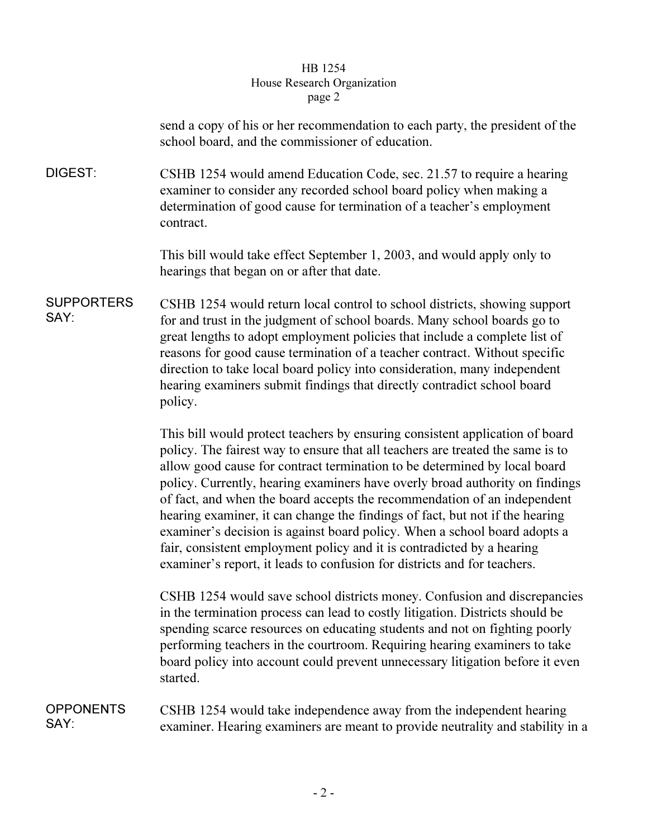## HB 1254 House Research Organization page 2  $r^{2}$

send a copy of his or her recommendation to each party, the president of the school board, and the commissioner of education.

DIGEST: CSHB 1254 would amend Education Code, sec. 21.57 to require a hearing examiner to consider any recorded school board policy when making a determination of good cause for termination of a teacher's employment contract.

> This bill would take effect September 1, 2003, and would apply only to hearings that began on or after that date.

SUPPORTERS SAY: CSHB 1254 would return local control to school districts, showing support for and trust in the judgment of school boards. Many school boards go to great lengths to adopt employment policies that include a complete list of reasons for good cause termination of a teacher contract. Without specific direction to take local board policy into consideration, many independent hearing examiners submit findings that directly contradict school board policy.

> This bill would protect teachers by ensuring consistent application of board policy. The fairest way to ensure that all teachers are treated the same is to allow good cause for contract termination to be determined by local board policy. Currently, hearing examiners have overly broad authority on findings of fact, and when the board accepts the recommendation of an independent hearing examiner, it can change the findings of fact, but not if the hearing examiner's decision is against board policy. When a school board adopts a fair, consistent employment policy and it is contradicted by a hearing examiner's report, it leads to confusion for districts and for teachers.

> CSHB 1254 would save school districts money. Confusion and discrepancies in the termination process can lead to costly litigation. Districts should be spending scarce resources on educating students and not on fighting poorly performing teachers in the courtroom. Requiring hearing examiners to take board policy into account could prevent unnecessary litigation before it even started.

**OPPONENTS** SAY: CSHB 1254 would take independence away from the independent hearing examiner. Hearing examiners are meant to provide neutrality and stability in a